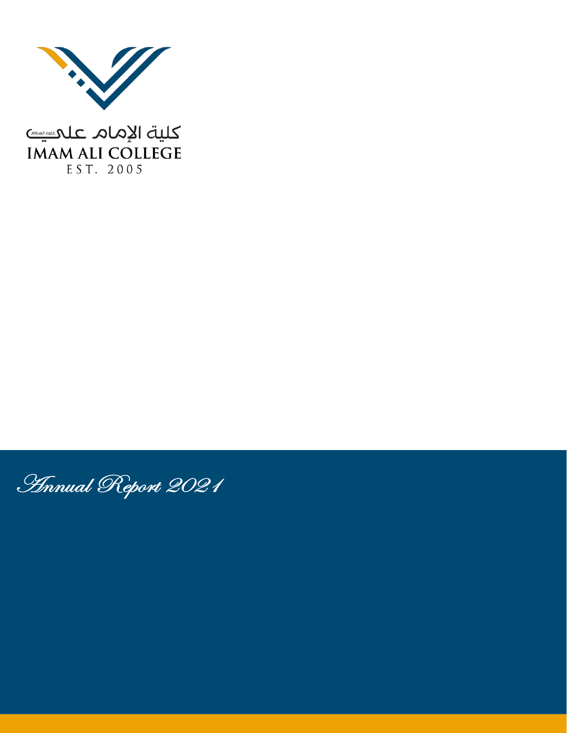

كلية الإمام علميس **IMAM ALI COLLEGE** EST. 2005

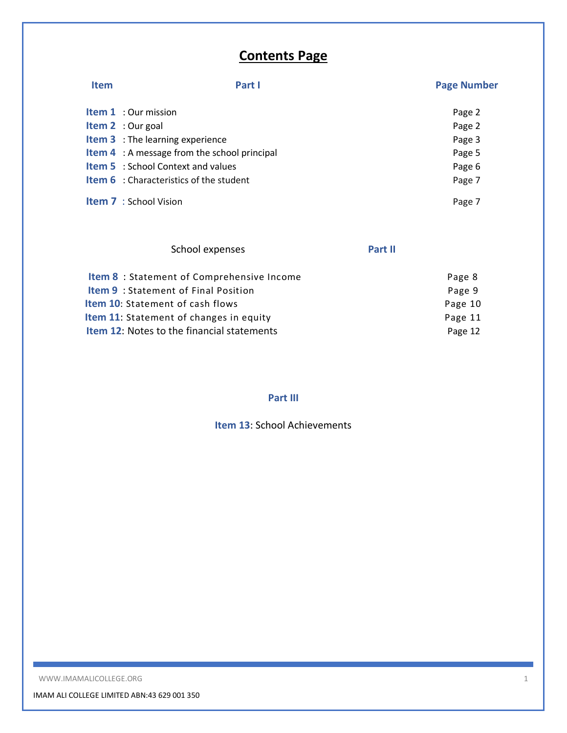# **Contents Page**

| <b>Item</b> | Part I                                              | <b>Page Number</b> |
|-------------|-----------------------------------------------------|--------------------|
|             | <b>Item 1</b> : Our mission                         | Page 2             |
|             | <b>Item 2</b> : Our goal                            | Page 2             |
|             | <b>Item 3</b> : The learning experience             | Page 3             |
|             | <b>Item 4</b> : A message from the school principal | Page 5             |
|             | <b>Item 5</b> : School Context and values           | Page 6             |
|             | <b>Item 6</b> : Characteristics of the student      | Page 7             |
|             | <b>Item 7</b> : School Vision                       | Page 7             |

| School expenses                                   | Part II |         |
|---------------------------------------------------|---------|---------|
| <b>Item 8</b> : Statement of Comprehensive Income |         | Page 8  |
| <b>Item 9</b> : Statement of Final Position       |         | Page 9  |
| <b>Item 10:</b> Statement of cash flows           |         | Page 10 |
| <b>Item 11:</b> Statement of changes in equity    |         | Page 11 |
| <b>Item 12: Notes to the financial statements</b> |         | Page 12 |

# **Part III**

**Item 13**: School Achievements

WWW.IMAMALICOLLEGE.ORG 1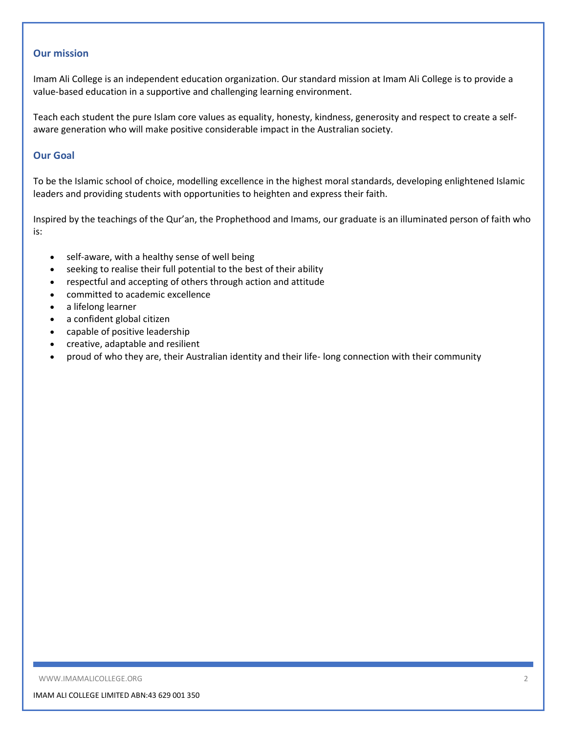## **Our mission**

Imam Ali College is an independent education organization. Our standard mission at Imam Ali College is to provide a value-based education in a supportive and challenging learning environment.

Teach each student the pure Islam core values as equality, honesty, kindness, generosity and respect to create a selfaware generation who will make positive considerable impact in the Australian society.

### **Our Goal**

To be the Islamic school of choice, modelling excellence in the highest moral standards, developing enlightened Islamic leaders and providing students with opportunities to heighten and express their faith.

Inspired by the teachings of the Qur'an, the Prophethood and Imams, our graduate is an illuminated person of faith who is:

- self-aware, with a healthy sense of well being
- seeking to realise their full potential to the best of their ability
- respectful and accepting of others through action and attitude
- committed to academic excellence
- a lifelong learner
- $\bullet$  a confident global citizen
- capable of positive leadership
- creative, adaptable and resilient
- proud of who they are, their Australian identity and their life- long connection with their community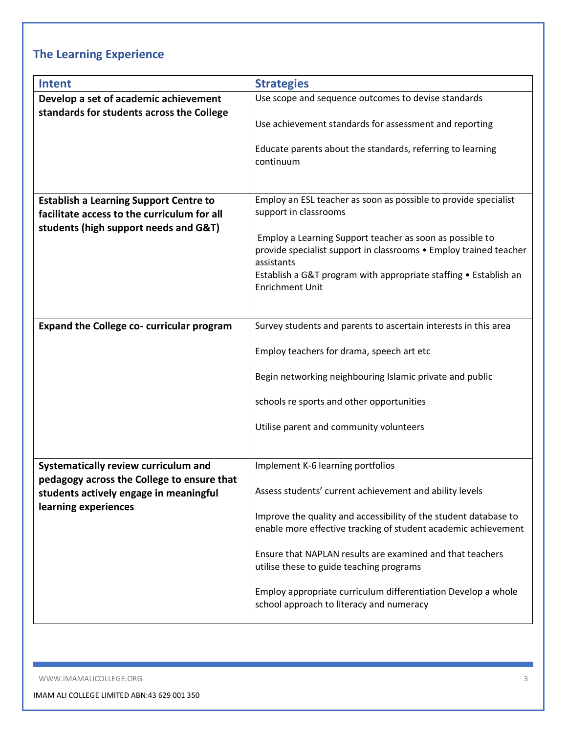# **The Learning Experience**

| <b>Intent</b>                                    | <b>Strategies</b>                                                                                         |
|--------------------------------------------------|-----------------------------------------------------------------------------------------------------------|
| Develop a set of academic achievement            | Use scope and sequence outcomes to devise standards                                                       |
| standards for students across the College        |                                                                                                           |
|                                                  | Use achievement standards for assessment and reporting                                                    |
|                                                  | Educate parents about the standards, referring to learning<br>continuum                                   |
| <b>Establish a Learning Support Centre to</b>    | Employ an ESL teacher as soon as possible to provide specialist                                           |
| facilitate access to the curriculum for all      | support in classrooms                                                                                     |
| students (high support needs and G&T)            |                                                                                                           |
|                                                  | Employ a Learning Support teacher as soon as possible to                                                  |
|                                                  | provide specialist support in classrooms . Employ trained teacher<br>assistants                           |
|                                                  | Establish a G&T program with appropriate staffing • Establish an                                          |
|                                                  | <b>Enrichment Unit</b>                                                                                    |
|                                                  |                                                                                                           |
| <b>Expand the College co- curricular program</b> | Survey students and parents to ascertain interests in this area                                           |
|                                                  |                                                                                                           |
|                                                  | Employ teachers for drama, speech art etc                                                                 |
|                                                  | Begin networking neighbouring Islamic private and public                                                  |
|                                                  | schools re sports and other opportunities                                                                 |
|                                                  | Utilise parent and community volunteers                                                                   |
|                                                  |                                                                                                           |
| Systematically review curriculum and             | Implement K-6 learning portfolios                                                                         |
| pedagogy across the College to ensure that       |                                                                                                           |
| students actively engage in meaningful           | Assess students' current achievement and ability levels                                                   |
| learning experiences                             | Improve the quality and accessibility of the student database to                                          |
|                                                  | enable more effective tracking of student academic achievement                                            |
|                                                  | Ensure that NAPLAN results are examined and that teachers<br>utilise these to guide teaching programs     |
|                                                  | Employ appropriate curriculum differentiation Develop a whole<br>school approach to literacy and numeracy |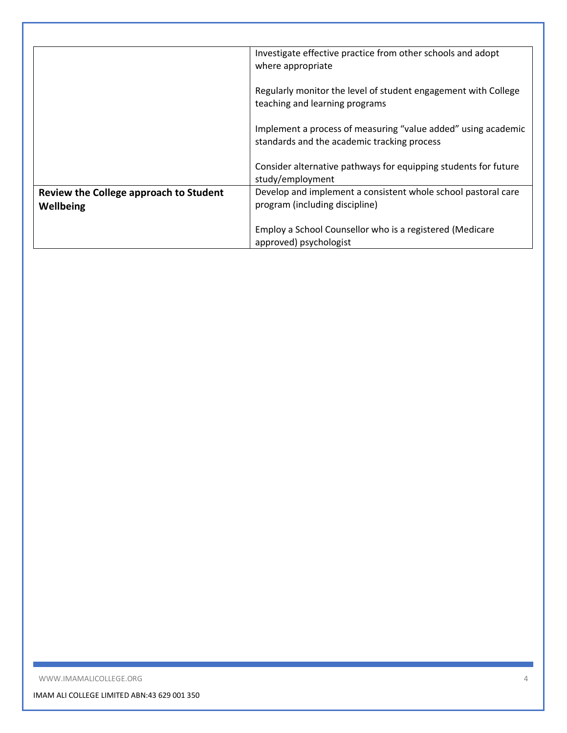|                                                     | Investigate effective practice from other schools and adopt<br>where appropriate                             |
|-----------------------------------------------------|--------------------------------------------------------------------------------------------------------------|
|                                                     | Regularly monitor the level of student engagement with College<br>teaching and learning programs             |
|                                                     | Implement a process of measuring "value added" using academic<br>standards and the academic tracking process |
|                                                     | Consider alternative pathways for equipping students for future<br>study/employment                          |
| Review the College approach to Student<br>Wellbeing | Develop and implement a consistent whole school pastoral care<br>program (including discipline)              |
|                                                     | Employ a School Counsellor who is a registered (Medicare<br>approved) psychologist                           |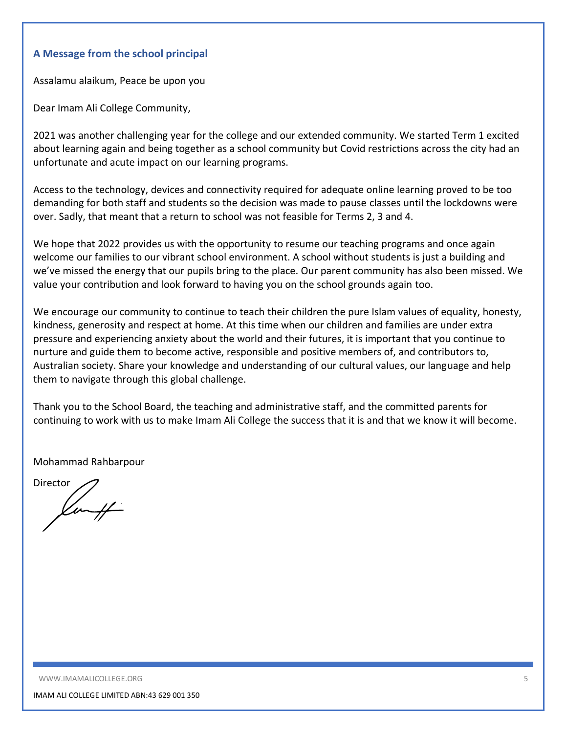## **A Message from the school principal**

Assalamu alaikum, Peace be upon you

Dear Imam Ali College Community,

2021 was another challenging year for the college and our extended community. We started Term 1 excited about learning again and being together as a school community but Covid restrictions across the city had an unfortunate and acute impact on our learning programs.

Access to the technology, devices and connectivity required for adequate online learning proved to be too demanding for both staff and students so the decision was made to pause classes until the lockdowns were over. Sadly, that meant that a return to school was not feasible for Terms 2, 3 and 4.

We hope that 2022 provides us with the opportunity to resume our teaching programs and once again welcome our families to our vibrant school environment. A school without students is just a building and we've missed the energy that our pupils bring to the place. Our parent community has also been missed. We value your contribution and look forward to having you on the school grounds again too.

We encourage our community to continue to teach their children the pure Islam values of equality, honesty, kindness, generosity and respect at home. At this time when our children and families are under extra pressure and experiencing anxiety about the world and their futures, it is important that you continue to nurture and guide them to become active, responsible and positive members of, and contributors to, Australian society. Share your knowledge and understanding of our cultural values, our language and help them to navigate through this global challenge.

Thank you to the School Board, the teaching and administrative staff, and the committed parents for continuing to work with us to make Imam Ali College the success that it is and that we know it will become.

Mohammad Rahbarpour

**Director** Kunff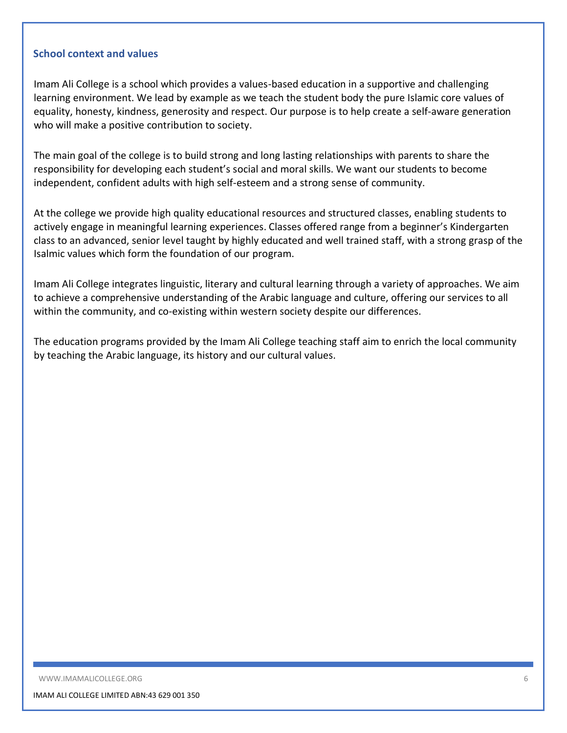### **School context and values**

Imam Ali College is a school which provides a values-based education in a supportive and challenging learning environment. We lead by example as we teach the student body the pure Islamic core values of equality, honesty, kindness, generosity and respect. Our purpose is to help create a self-aware generation who will make a positive contribution to society.

The main goal of the college is to build strong and long lasting relationships with parents to share the responsibility for developing each student's social and moral skills. We want our students to become independent, confident adults with high self-esteem and a strong sense of community.

At the college we provide high quality educational resources and structured classes, enabling students to actively engage in meaningful learning experiences. Classes offered range from a beginner's Kindergarten class to an advanced, senior level taught by highly educated and well trained staff, with a strong grasp of the Isalmic values which form the foundation of our program.

Imam Ali College integrates linguistic, literary and cultural learning through a variety of approaches. We aim to achieve a comprehensive understanding of the Arabic language and culture, offering our services to all within the community, and co-existing within western society despite our differences.

The education programs provided by the Imam Ali College teaching staff aim to enrich the local community by teaching the Arabic language, its history and our cultural values.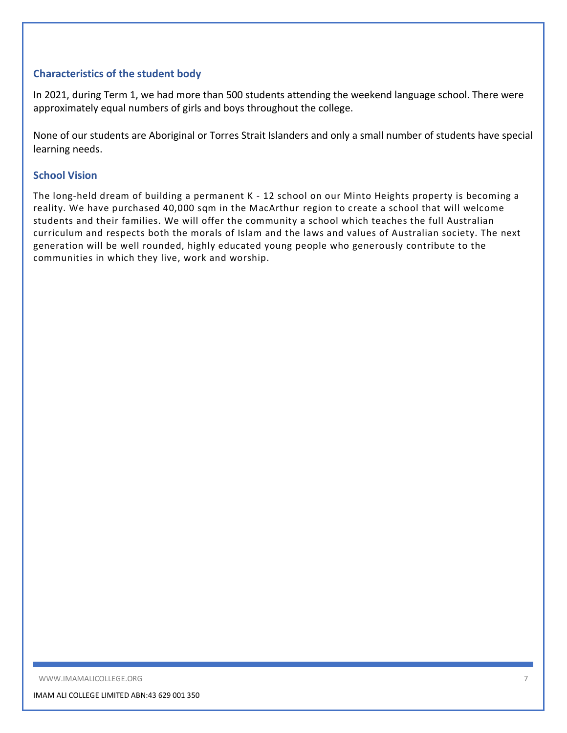## **Characteristics of the student body**

In 2021, during Term 1, we had more than 500 students attending the weekend language school. There were approximately equal numbers of girls and boys throughout the college.

None of our students are Aboriginal or Torres Strait Islanders and only a small number of students have special learning needs.

### **School Vision**

The long-held dream of building a permanent K - 12 school on our Minto Heights property is becoming a reality. We have purchased 40,000 sqm in the MacArthur region to create a school that will welcome students and their families. We will offer the community a school which teaches the full Australian curriculum and respects both the morals of Islam and the laws and values of Australian society. The next generation will be well rounded, highly educated young people who generously contribute to the communities in which they live, work and worship.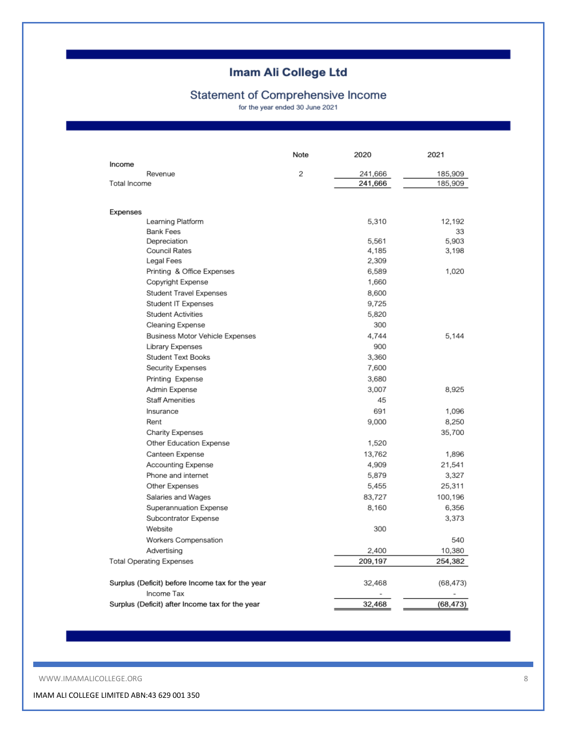# Statement of Comprehensive Income

for the year ended 30 June 2021

|                                                  | Note | 2020    | 2021      |
|--------------------------------------------------|------|---------|-----------|
| Income<br>Revenue                                | 2    | 241,666 | 185,909   |
| Total Income                                     |      | 241,666 | 185,909   |
|                                                  |      |         |           |
| Expenses<br>Learning Platform                    |      | 5,310   | 12,192    |
| <b>Bank Fees</b>                                 |      |         | 33        |
| Depreciation                                     |      | 5.561   | 5,903     |
| Council Rates                                    |      | 4,185   | 3,198     |
| Legal Fees                                       |      | 2,309   |           |
| Printing & Office Expenses                       |      | 6,589   | 1,020     |
| Copyright Expense                                |      | 1,660   |           |
| <b>Student Travel Expenses</b>                   |      | 8,600   |           |
| Student IT Expenses                              |      | 9,725   |           |
| <b>Student Activities</b>                        |      | 5,820   |           |
| Cleaning Expense                                 |      | 300     |           |
| Business Motor Vehicle Expenses                  |      | 4,744   | 5,144     |
| Library Expenses                                 |      | 900     |           |
| <b>Student Text Books</b>                        |      | 3,360   |           |
| Security Expenses                                |      | 7,600   |           |
| Printing Expense                                 |      | 3,680   |           |
| Admin Expense                                    |      | 3,007   | 8.925     |
| <b>Staff Amenities</b>                           |      | 45      |           |
| Insurance                                        |      | 691     | 1,096     |
| Rent                                             |      | 9,000   | 8,250     |
| <b>Charity Expenses</b>                          |      |         | 35,700    |
| Other Education Expense                          |      | 1,520   |           |
| Canteen Expense                                  |      | 13,762  | 1,896     |
| Accounting Expense                               |      | 4,909   | 21,541    |
| Phone and internet                               |      | 5,879   | 3,327     |
| Other Expenses                                   |      | 5,455   | 25,311    |
| Salaries and Wages                               |      | 83,727  | 100,196   |
| Superannuation Expense                           |      | 8,160   | 6,356     |
| Subcontrator Expense                             |      |         | 3,373     |
| Website                                          |      | 300     |           |
| Workers Compensation                             |      |         | 540       |
| Advertising                                      |      | 2,400   | 10,380    |
| <b>Total Operating Expenses</b>                  |      | 209,197 | 254,382   |
| Surplus (Deficit) before Income tax for the year |      | 32,468  | (68, 473) |
| Income Tax                                       |      |         |           |
| Surplus (Deficit) after Income tax for the year  |      | 32,468  | (68, 473) |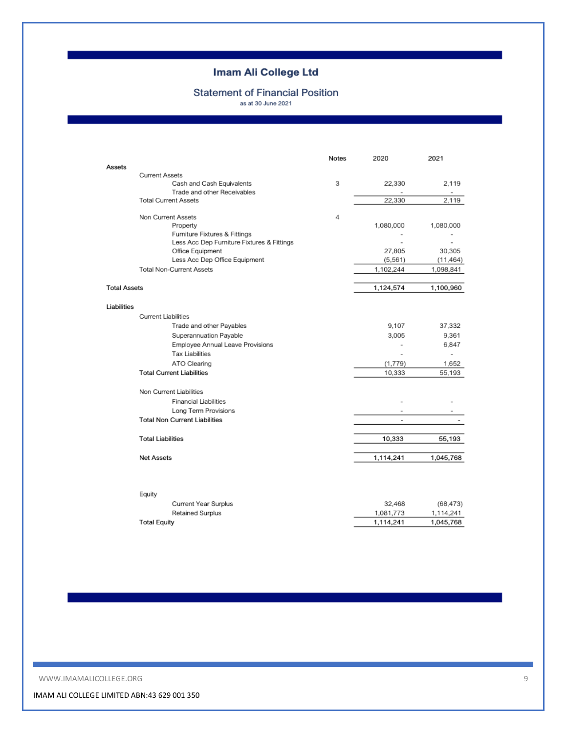# **Statement of Financial Position**

as at 30 June 2021

|                     |                                                            | Notes | 2020                     | 2021           |
|---------------------|------------------------------------------------------------|-------|--------------------------|----------------|
| Assets              |                                                            |       |                          |                |
|                     | <b>Current Assets</b>                                      |       |                          |                |
|                     | Cash and Cash Equivalents                                  | 3     | 22,330                   | 2.119          |
|                     | Trade and other Receivables<br><b>Total Current Assets</b> |       | 22,330                   | 2,119          |
|                     |                                                            |       |                          |                |
|                     | Non Current Assets                                         | 4     |                          |                |
|                     | Property                                                   |       | 1,080,000                | 1,080,000      |
|                     | Furniture Fixtures & Fittings                              |       |                          |                |
|                     | Less Acc Dep Furniture Fixtures & Fittings                 |       |                          |                |
|                     | Office Equipment                                           |       | 27,805                   | 30,305         |
|                     | Less Acc Dep Office Equipment                              |       | (5, 561)                 | (11, 464)      |
|                     | <b>Total Non-Current Assets</b>                            |       | 1,102,244                | 1,098,841      |
| <b>Total Assets</b> |                                                            |       | 1,124,574                | 1,100,960      |
|                     |                                                            |       |                          |                |
| Liabilities         |                                                            |       |                          |                |
|                     | <b>Current Liabilities</b>                                 |       |                          |                |
|                     | Trade and other Payables                                   |       | 9,107                    | 37,332         |
|                     | Superannuation Payable                                     |       | 3,005                    | 9,361          |
|                     | Employee Annual Leave Provisions                           |       | $\overline{a}$           | 6,847          |
|                     | <b>Tax Liabilities</b>                                     |       | ٠                        | $\overline{a}$ |
|                     | ATO Clearing                                               |       | (1,779)                  | 1,652          |
|                     | <b>Total Current Liabilities</b>                           |       | 10,333                   | 55,193         |
|                     | Non Current Liabilities                                    |       |                          |                |
|                     | <b>Financial Liabilities</b>                               |       |                          |                |
|                     | Long Term Provisions                                       |       |                          |                |
|                     | <b>Total Non Current Liabilities</b>                       |       | $\overline{\phantom{a}}$ |                |
|                     |                                                            |       |                          |                |
|                     | <b>Total Liabilities</b>                                   |       | 10,333                   | 55,193         |
|                     | <b>Net Assets</b>                                          |       | 1,114,241                | 1,045,768      |
|                     |                                                            |       |                          |                |
|                     |                                                            |       |                          |                |
|                     | Equity                                                     |       |                          |                |
|                     | Current Year Surplus                                       |       | 32,468                   | (68, 473)      |
|                     | Retained Surplus                                           |       | 1,081,773                | 1,114,241      |
|                     | <b>Total Equity</b>                                        |       | 1,114,241                | 1,045,768      |
|                     |                                                            |       |                          |                |

WWW.IMAMALICOLLEGE.ORG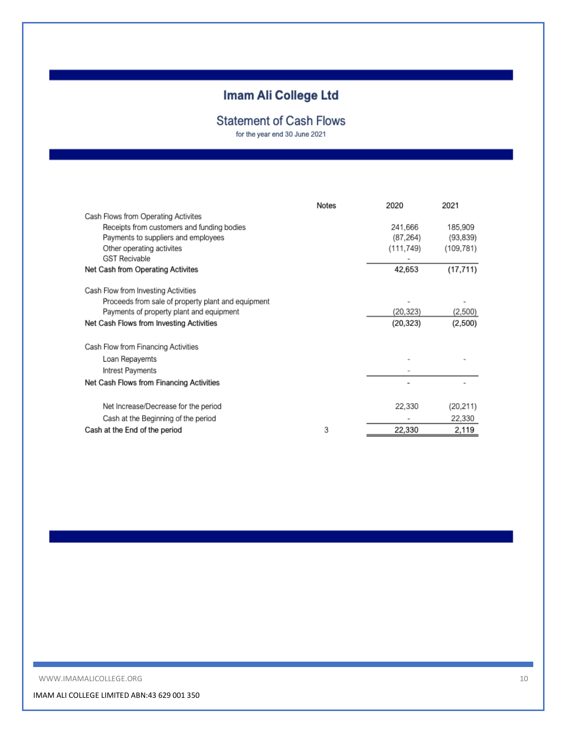# **Statement of Cash Flows**

for the year end 30 June 2021

|                                                    | <b>Notes</b> | 2020       | 2021       |
|----------------------------------------------------|--------------|------------|------------|
| Cash Flows from Operating Activites                |              |            |            |
| Receipts from customers and funding bodies         |              | 241,666    | 185,909    |
| Payments to suppliers and employees                |              | (87, 264)  | (93, 839)  |
| Other operating activites                          |              | (111, 749) | (109, 781) |
| <b>GST Recivable</b>                               |              |            |            |
| Net Cash from Operating Activites                  |              | 42,653     | (17, 711)  |
| Cash Flow from Investing Activities                |              |            |            |
| Proceeds from sale of property plant and equipment |              |            |            |
| Payments of property plant and equipment           |              | (20, 323)  | (2,500)    |
| Net Cash Flows from Investing Activities           |              | (20, 323)  | (2,500)    |
| Cash Flow from Financing Activities                |              |            |            |
| Loan Repayemts                                     |              |            |            |
| Intrest Payments                                   |              |            |            |
| Net Cash Flows from Financing Activities           |              |            |            |
| Net Increase/Decrease for the period               |              | 22,330     | (20,211)   |
| Cash at the Beginning of the period                |              |            | 22,330     |
| Cash at the End of the period                      | 3            | 22,330     | 2,119      |
|                                                    |              |            |            |

WWW.IMAMALICOLLEGE.ORG 10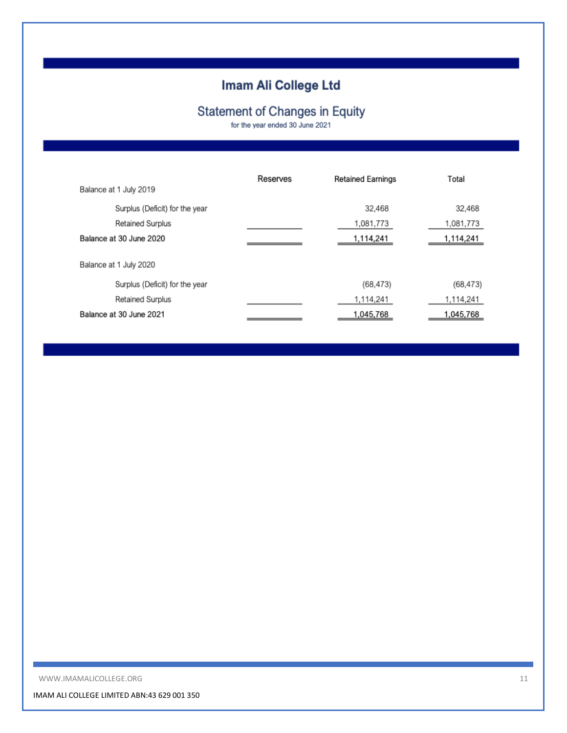# **Statement of Changes in Equity**

for the year ended 30 June 2021

| Balance at 1 July 2019         | Reserves | <b>Retained Earnings</b> | Total     |
|--------------------------------|----------|--------------------------|-----------|
| Surplus (Deficit) for the year |          | 32.468                   | 32,468    |
| Retained Surplus               |          | 1,081,773                | 1,081,773 |
| Balance at 30 June 2020        |          | 1,114,241                | 1,114,241 |
| Balance at 1 July 2020         |          |                          |           |
| Surplus (Deficit) for the year |          | (68, 473)                | (68, 473) |
| Retained Surplus               |          | 1,114,241                | 1,114,241 |
| Balance at 30 June 2021        |          | 1,045,768                | 1,045,768 |

WWW.IMAMALICOLLEGE.ORG 11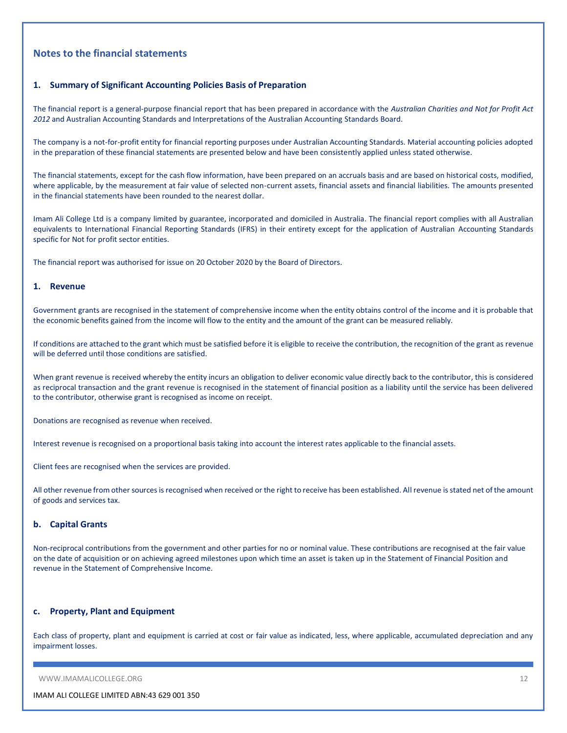## **Notes to the financial statements**

#### **1. Summary of Significant Accounting Policies Basis of Preparation**

The financial report is a general-purpose financial report that has been prepared in accordance with the *Australian Charities and Not for Profit Act 2012* and Australian Accounting Standards and Interpretations of the Australian Accounting Standards Board.

The company is a not-for-profit entity for financial reporting purposes under Australian Accounting Standards. Material accounting policies adopted in the preparation of these financial statements are presented below and have been consistently applied unless stated otherwise.

The financial statements, except for the cash flow information, have been prepared on an accruals basis and are based on historical costs, modified, where applicable, by the measurement at fair value of selected non-current assets, financial assets and financial liabilities. The amounts presented in the financial statements have been rounded to the nearest dollar.

Imam Ali College Ltd is a company limited by guarantee, incorporated and domiciled in Australia. The financial report complies with all Australian equivalents to International Financial Reporting Standards (IFRS) in their entirety except for the application of Australian Accounting Standards specific for Not for profit sector entities.

The financial report was authorised for issue on 20 October 2020 by the Board of Directors.

#### **1. Revenue**

Government grants are recognised in the statement of comprehensive income when the entity obtains control of the income and it is probable that the economic benefits gained from the income will flow to the entity and the amount of the grant can be measured reliably.

If conditions are attached to the grant which must be satisfied before it is eligible to receive the contribution, the recognition of the grant as revenue will be deferred until those conditions are satisfied.

When grant revenue is received whereby the entity incurs an obligation to deliver economic value directly back to the contributor, this is considered as reciprocal transaction and the grant revenue is recognised in the statement of financial position as a liability until the service has been delivered to the contributor, otherwise grant is recognised as income on receipt.

Donations are recognised as revenue when received.

Interest revenue is recognised on a proportional basis taking into account the interest rates applicable to the financial assets.

Client fees are recognised when the services are provided.

All other revenue from other sources is recognised when received or the right to receive has been established. All revenue is stated net of the amount of goods and services tax.

#### **b. Capital Grants**

Non-reciprocal contributions from the government and other parties for no or nominal value. These contributions are recognised at the fair value on the date of acquisition or on achieving agreed milestones upon which time an asset is taken up in the Statement of Financial Position and revenue in the Statement of Comprehensive Income.

#### **c. Property, Plant and Equipment**

Each class of property, plant and equipment is carried at cost or fair value as indicated, less, where applicable, accumulated depreciation and any impairment losses.

WWW.IMAMALICOLLEGE.ORG 12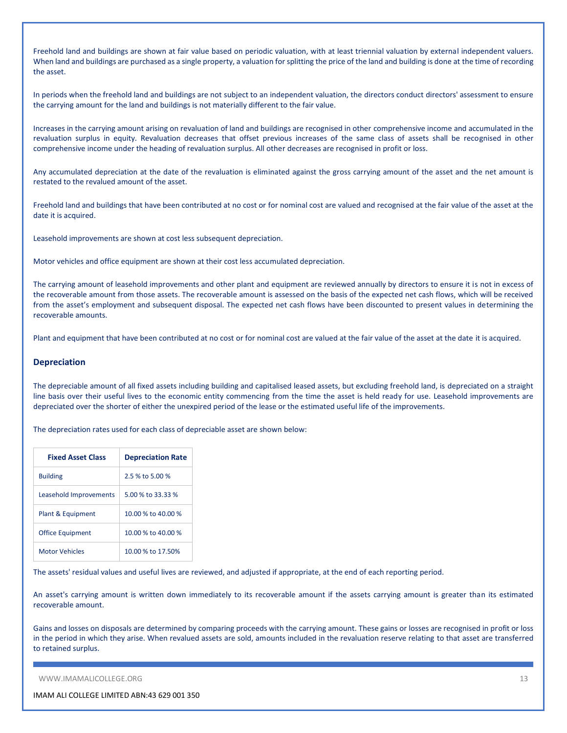Freehold land and buildings are shown at fair value based on periodic valuation, with at least triennial valuation by external independent valuers. When land and buildings are purchased as a single property, a valuation for splitting the price of the land and building is done at the time of recording the asset.

In periods when the freehold land and buildings are not subject to an independent valuation, the directors conduct directors' assessment to ensure the carrying amount for the land and buildings is not materially different to the fair value.

Increases in the carrying amount arising on revaluation of land and buildings are recognised in other comprehensive income and accumulated in the revaluation surplus in equity. Revaluation decreases that offset previous increases of the same class of assets shall be recognised in other comprehensive income under the heading of revaluation surplus. All other decreases are recognised in profit or loss.

Any accumulated depreciation at the date of the revaluation is eliminated against the gross carrying amount of the asset and the net amount is restated to the revalued amount of the asset.

Freehold land and buildings that have been contributed at no cost or for nominal cost are valued and recognised at the fair value of the asset at the date it is acquired.

Leasehold improvements are shown at cost less subsequent depreciation.

Motor vehicles and office equipment are shown at their cost less accumulated depreciation.

The carrying amount of leasehold improvements and other plant and equipment are reviewed annually by directors to ensure it is not in excess of the recoverable amount from those assets. The recoverable amount is assessed on the basis of the expected net cash flows, which will be received from the asset's employment and subsequent disposal. The expected net cash flows have been discounted to present values in determining the recoverable amounts.

Plant and equipment that have been contributed at no cost or for nominal cost are valued at the fair value of the asset at the date it is acquired.

#### **Depreciation**

The depreciable amount of all fixed assets including building and capitalised leased assets, but excluding freehold land, is depreciated on a straight line basis over their useful lives to the economic entity commencing from the time the asset is held ready for use. Leasehold improvements are depreciated over the shorter of either the unexpired period of the lease or the estimated useful life of the improvements.

The depreciation rates used for each class of depreciable asset are shown below:

| <b>Fixed Asset Class</b> | <b>Depreciation Rate</b> |
|--------------------------|--------------------------|
| <b>Building</b>          | 2.5 % to 5.00 %          |
| Leasehold Improvements   | 5.00 % to 33.33 %        |
| Plant & Equipment        | 10.00 % to 40.00 %       |
| <b>Office Equipment</b>  | 10.00 % to 40.00 %       |
| <b>Motor Vehicles</b>    | 10.00 % to 17.50%        |

The assets' residual values and useful lives are reviewed, and adjusted if appropriate, at the end of each reporting period.

An asset's carrying amount is written down immediately to its recoverable amount if the assets carrying amount is greater than its estimated recoverable amount.

Gains and losses on disposals are determined by comparing proceeds with the carrying amount. These gains or losses are recognised in profit or loss in the period in which they arise. When revalued assets are sold, amounts included in the revaluation reserve relating to that asset are transferred to retained surplus.

WWW.IMAMALICOLLEGE.ORG 13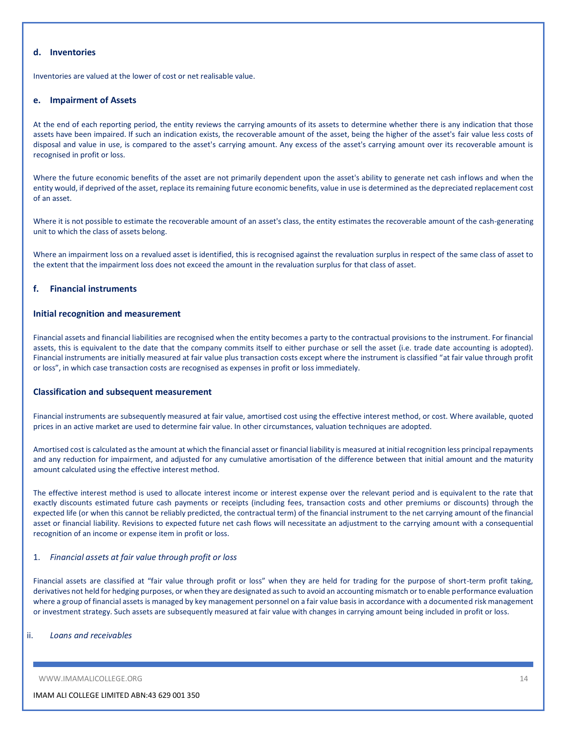### **d. Inventories**

Inventories are valued at the lower of cost or net realisable value.

#### **e. Impairment of Assets**

At the end of each reporting period, the entity reviews the carrying amounts of its assets to determine whether there is any indication that those assets have been impaired. If such an indication exists, the recoverable amount of the asset, being the higher of the asset's fair value less costs of disposal and value in use, is compared to the asset's carrying amount. Any excess of the asset's carrying amount over its recoverable amount is recognised in profit or loss.

Where the future economic benefits of the asset are not primarily dependent upon the asset's ability to generate net cash inflows and when the entity would, if deprived of the asset, replace its remaining future economic benefits, value in use is determined as the depreciated replacement cost of an asset.

Where it is not possible to estimate the recoverable amount of an asset's class, the entity estimates the recoverable amount of the cash-generating unit to which the class of assets belong.

Where an impairment loss on a revalued asset is identified, this is recognised against the revaluation surplus in respect of the same class of asset to the extent that the impairment loss does not exceed the amount in the revaluation surplus for that class of asset.

#### **f. Financial instruments**

#### **Initial recognition and measurement**

Financial assets and financial liabilities are recognised when the entity becomes a party to the contractual provisions to the instrument. For financial assets, this is equivalent to the date that the company commits itself to either purchase or sell the asset (i.e. trade date accounting is adopted). Financial instruments are initially measured at fair value plus transaction costs except where the instrument is classified "at fair value through profit or loss", in which case transaction costs are recognised as expenses in profit or loss immediately.

#### **Classification and subsequent measurement**

Financial instruments are subsequently measured at fair value, amortised cost using the effective interest method, or cost. Where available, quoted prices in an active market are used to determine fair value. In other circumstances, valuation techniques are adopted.

Amortised cost is calculated as the amount at which the financial asset or financial liability is measured at initial recognition less principal repayments and any reduction for impairment, and adjusted for any cumulative amortisation of the difference between that initial amount and the maturity amount calculated using the effective interest method.

The effective interest method is used to allocate interest income or interest expense over the relevant period and is equivalent to the rate that exactly discounts estimated future cash payments or receipts (including fees, transaction costs and other premiums or discounts) through the expected life (or when this cannot be reliably predicted, the contractual term) of the financial instrument to the net carrying amount of the financial asset or financial liability. Revisions to expected future net cash flows will necessitate an adjustment to the carrying amount with a consequential recognition of an income or expense item in profit or loss.

#### 1. *Financial assets at fair value through profit or loss*

Financial assets are classified at "fair value through profit or loss" when they are held for trading for the purpose of short-term profit taking, derivatives not held for hedging purposes, or when they are designated as such to avoid an accounting mismatch or to enable performance evaluation where a group of financial assets is managed by key management personnel on a fair value basis in accordance with a documented risk management or investment strategy. Such assets are subsequently measured at fair value with changes in carrying amount being included in profit or loss.

#### ii. *Loans and receivables*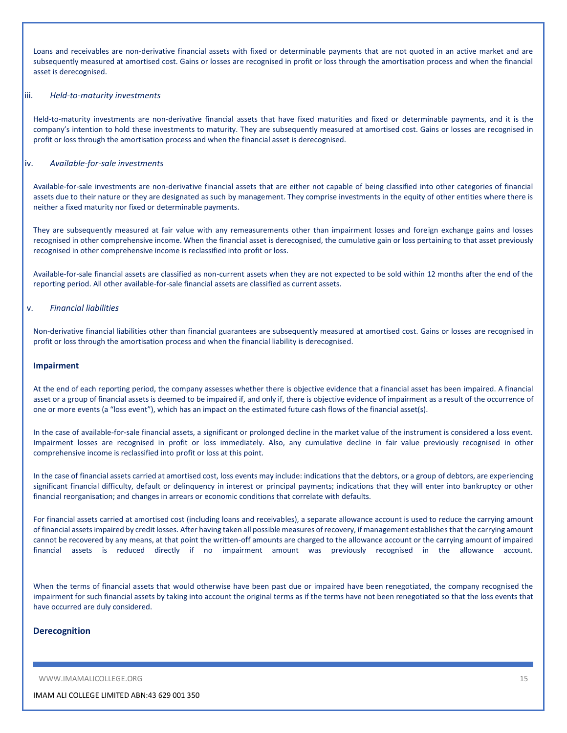Loans and receivables are non-derivative financial assets with fixed or determinable payments that are not quoted in an active market and are subsequently measured at amortised cost. Gains or losses are recognised in profit or loss through the amortisation process and when the financial asset is derecognised.

#### iii. *Held-to-maturity investments*

Held-to-maturity investments are non-derivative financial assets that have fixed maturities and fixed or determinable payments, and it is the company's intention to hold these investments to maturity. They are subsequently measured at amortised cost. Gains or losses are recognised in profit or loss through the amortisation process and when the financial asset is derecognised.

#### iv. *Available-for-sale investments*

Available-for-sale investments are non-derivative financial assets that are either not capable of being classified into other categories of financial assets due to their nature or they are designated as such by management. They comprise investments in the equity of other entities where there is neither a fixed maturity nor fixed or determinable payments.

They are subsequently measured at fair value with any remeasurements other than impairment losses and foreign exchange gains and losses recognised in other comprehensive income. When the financial asset is derecognised, the cumulative gain or loss pertaining to that asset previously recognised in other comprehensive income is reclassified into profit or loss.

Available-for-sale financial assets are classified as non-current assets when they are not expected to be sold within 12 months after the end of the reporting period. All other available-for-sale financial assets are classified as current assets.

#### v. *Financial liabilities*

Non-derivative financial liabilities other than financial guarantees are subsequently measured at amortised cost. Gains or losses are recognised in profit or loss through the amortisation process and when the financial liability is derecognised.

#### **Impairment**

At the end of each reporting period, the company assesses whether there is objective evidence that a financial asset has been impaired. A financial asset or a group of financial assets is deemed to be impaired if, and only if, there is objective evidence of impairment as a result of the occurrence of one or more events (a "loss event"), which has an impact on the estimated future cash flows of the financial asset(s).

In the case of available-for-sale financial assets, a significant or prolonged decline in the market value of the instrument is considered a loss event. Impairment losses are recognised in profit or loss immediately. Also, any cumulative decline in fair value previously recognised in other comprehensive income is reclassified into profit or loss at this point.

In the case of financial assets carried at amortised cost, loss events may include: indications that the debtors, or a group of debtors, are experiencing significant financial difficulty, default or delinquency in interest or principal payments; indications that they will enter into bankruptcy or other financial reorganisation; and changes in arrears or economic conditions that correlate with defaults.

For financial assets carried at amortised cost (including loans and receivables), a separate allowance account is used to reduce the carrying amount of financial assets impaired by credit losses. After having taken all possible measures of recovery, if management establishes that the carrying amount cannot be recovered by any means, at that point the written-off amounts are charged to the allowance account or the carrying amount of impaired financial assets is reduced directly if no impairment amount was previously recognised in the allowance account.

When the terms of financial assets that would otherwise have been past due or impaired have been renegotiated, the company recognised the impairment for such financial assets by taking into account the original terms as if the terms have not been renegotiated so that the loss events that have occurred are duly considered.

#### **Derecognition**

WWW.IMAMALICOLLEGE.ORG 15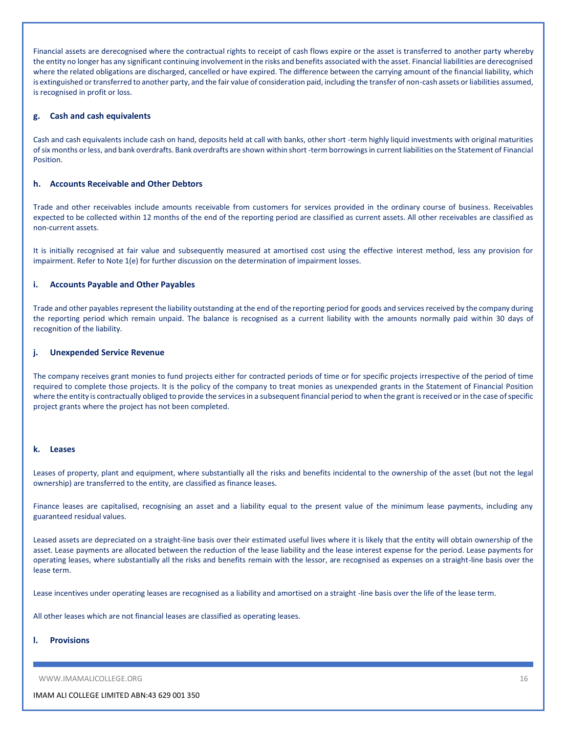Financial assets are derecognised where the contractual rights to receipt of cash flows expire or the asset is transferred to another party whereby the entity no longer has any significant continuing involvement in the risks and benefits associated with the asset. Financial liabilities are derecognised where the related obligations are discharged, cancelled or have expired. The difference between the carrying amount of the financial liability, which is extinguished or transferred to another party, and the fair value of consideration paid, including the transfer of non-cash assets or liabilities assumed, is recognised in profit or loss.

#### **g. Cash and cash equivalents**

Cash and cash equivalents include cash on hand, deposits held at call with banks, other short -term highly liquid investments with original maturities of six months or less, and bank overdrafts. Bank overdrafts are shown within short -term borrowings in current liabilities on the Statement of Financial **Position** 

#### **h. Accounts Receivable and Other Debtors**

Trade and other receivables include amounts receivable from customers for services provided in the ordinary course of business. Receivables expected to be collected within 12 months of the end of the reporting period are classified as current assets. All other receivables are classified as non-current assets.

It is initially recognised at fair value and subsequently measured at amortised cost using the effective interest method, less any provision for impairment. Refer to Note 1(e) for further discussion on the determination of impairment losses.

#### **i. Accounts Payable and Other Payables**

Trade and other payables represent the liability outstanding at the end of the reporting period for goods and services received by the company during the reporting period which remain unpaid. The balance is recognised as a current liability with the amounts normally paid within 30 days of recognition of the liability.

#### **j. Unexpended Service Revenue**

The company receives grant monies to fund projects either for contracted periods of time or for specific projects irrespective of the period of time required to complete those projects. It is the policy of the company to treat monies as unexpended grants in the Statement of Financial Position where the entity is contractually obliged to provide the services in a subsequent financial period to when the grant is received or in the case of specific project grants where the project has not been completed.

#### **k. Leases**

Leases of property, plant and equipment, where substantially all the risks and benefits incidental to the ownership of the asset (but not the legal ownership) are transferred to the entity, are classified as finance leases.

Finance leases are capitalised, recognising an asset and a liability equal to the present value of the minimum lease payments, including any guaranteed residual values.

Leased assets are depreciated on a straight-line basis over their estimated useful lives where it is likely that the entity will obtain ownership of the asset. Lease payments are allocated between the reduction of the lease liability and the lease interest expense for the period. Lease payments for operating leases, where substantially all the risks and benefits remain with the lessor, are recognised as expenses on a straight-line basis over the lease term.

Lease incentives under operating leases are recognised as a liability and amortised on a straight -line basis over the life of the lease term.

All other leases which are not financial leases are classified as operating leases.

#### **l. Provisions**

WWW.IMAMALICOLLEGE.ORG 16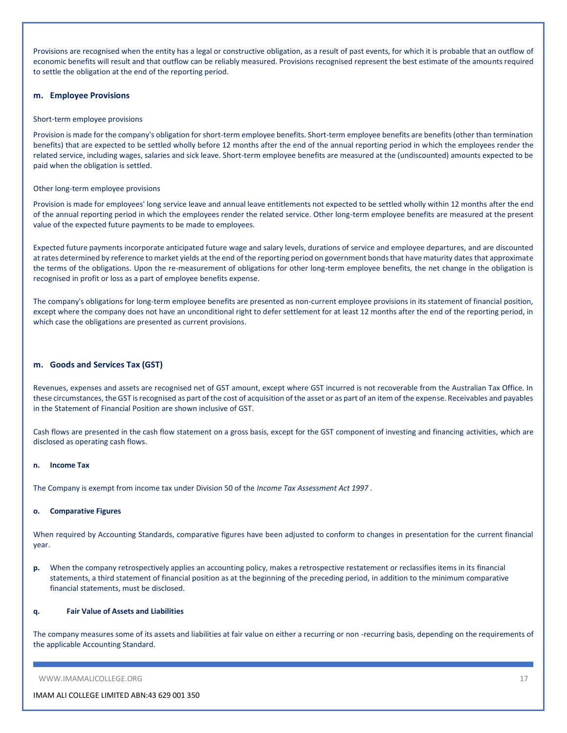Provisions are recognised when the entity has a legal or constructive obligation, as a result of past events, for which it is probable that an outflow of economic benefits will result and that outflow can be reliably measured. Provisions recognised represent the best estimate of the amounts required to settle the obligation at the end of the reporting period.

#### **m. Employee Provisions**

#### Short-term employee provisions

Provision is made for the company's obligation for short-term employee benefits. Short-term employee benefits are benefits (other than termination benefits) that are expected to be settled wholly before 12 months after the end of the annual reporting period in which the employees render the related service, including wages, salaries and sick leave. Short-term employee benefits are measured at the (undiscounted) amounts expected to be paid when the obligation is settled.

#### Other long-term employee provisions

Provision is made for employees' long service leave and annual leave entitlements not expected to be settled wholly within 12 months after the end of the annual reporting period in which the employees render the related service. Other long-term employee benefits are measured at the present value of the expected future payments to be made to employees.

Expected future payments incorporate anticipated future wage and salary levels, durations of service and employee departures, and are discounted at rates determined by reference to market yields at the end of the reporting period on government bonds that have maturity dates that approximate the terms of the obligations. Upon the re-measurement of obligations for other long-term employee benefits, the net change in the obligation is recognised in profit or loss as a part of employee benefits expense.

The company's obligations for long-term employee benefits are presented as non-current employee provisions in its statement of financial position, except where the company does not have an unconditional right to defer settlement for at least 12 months after the end of the reporting period, in which case the obligations are presented as current provisions.

#### **m. Goods and Services Tax (GST)**

Revenues, expenses and assets are recognised net of GST amount, except where GST incurred is not recoverable from the Australian Tax Office. In these circumstances, the GST is recognised as part of the cost of acquisition of the asset or as part of an item of the expense. Receivables and payables in the Statement of Financial Position are shown inclusive of GST.

Cash flows are presented in the cash flow statement on a gross basis, except for the GST component of investing and financing activities, which are disclosed as operating cash flows.

#### **n. Income Tax**

The Company is exempt from income tax under Division 50 of the *Income Tax Assessment Act 1997* .

#### **o. Comparative Figures**

When required by Accounting Standards, comparative figures have been adjusted to conform to changes in presentation for the current financial year.

**p.** When the company retrospectively applies an accounting policy, makes a retrospective restatement or reclassifies items in its financial statements, a third statement of financial position as at the beginning of the preceding period, in addition to the minimum comparative financial statements, must be disclosed.

#### **q. Fair Value of Assets and Liabilities**

The company measures some of its assets and liabilities at fair value on either a recurring or non -recurring basis, depending on the requirements of the applicable Accounting Standard.

WWW.IMAMALICOLLEGE.ORG 17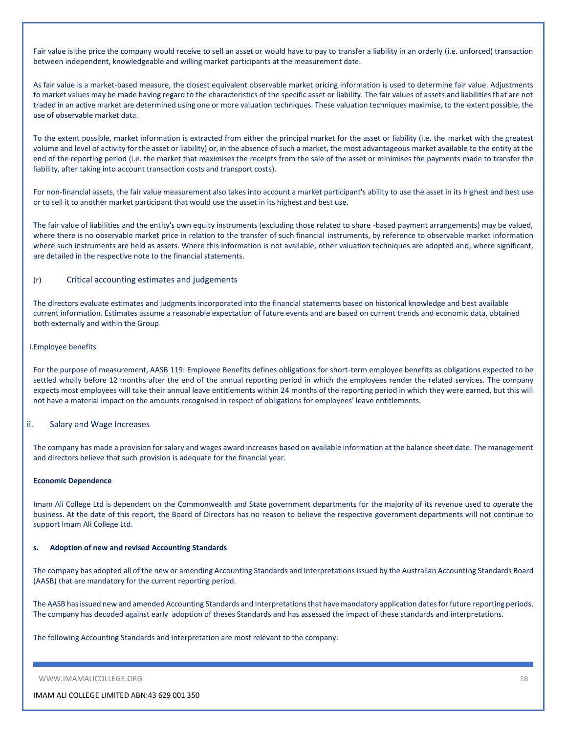Fair value is the price the company would receive to sell an asset or would have to pay to transfer a liability in an orderly (i.e. unforced) transaction between independent, knowledgeable and willing market participants at the measurement date.

As fair value is a market-based measure, the closest equivalent observable market pricing information is used to determine fair value. Adjustments to market values may be made having regard to the characteristics of the specific asset or liability. The fair values of assets and liabilities that are not traded in an active market are determined using one or more valuation techniques. These valuation techniques maximise, to the extent possible, the use of observable market data.

To the extent possible, market information is extracted from either the principal market for the asset or liability (i.e. the market with the greatest volume and level of activity for the asset or liability) or, in the absence of such a market, the most advantageous market available to the entity at the end of the reporting period (i.e. the market that maximises the receipts from the sale of the asset or minimises the payments made to transfer the liability, after taking into account transaction costs and transport costs).

For non-financial assets, the fair value measurement also takes into account a market participant's ability to use the asset in its highest and best use or to sell it to another market participant that would use the asset in its highest and best use.

The fair value of liabilities and the entity's own equity instruments (excluding those related to share -based payment arrangements) may be valued, where there is no observable market price in relation to the transfer of such financial instruments, by reference to observable market information where such instruments are held as assets. Where this information is not available, other valuation techniques are adopted and, where significant, are detailed in the respective note to the financial statements.

#### (r) Critical accounting estimates and judgements

The directors evaluate estimates and judgments incorporated into the financial statements based on historical knowledge and best available current information. Estimates assume a reasonable expectation of future events and are based on current trends and economic data, obtained both externally and within the Group

#### i.Employee benefits

For the purpose of measurement, AASB 119: Employee Benefits defines obligations for short-term employee benefits as obligations expected to be settled wholly before 12 months after the end of the annual reporting period in which the employees render the related services. The company expects most employees will take their annual leave entitlements within 24 months of the reporting period in which they were earned, but this will not have a material impact on the amounts recognised in respect of obligations for employees' leave entitlements.

#### ii. Salary and Wage Increases

The company has made a provision for salary and wages award increases based on available information at the balance sheet date. The management and directors believe that such provision is adequate for the financial year.

#### **Economic Dependence**

Imam Ali College Ltd is dependent on the Commonwealth and State government departments for the majority of its revenue used to operate the business. At the date of this report, the Board of Directors has no reason to believe the respective government departments will not continue to support Imam Ali College Ltd.

#### **s. Adoption of new and revised Accounting Standards**

The company has adopted all of the new or amending Accounting Standards and Interpretations issued by the Australian Accounting Standards Board (AASB) that are mandatory for the current reporting period.

The AASB has issued new and amended Accounting Standards and Interpretations that have mandatory application dates for future reporting periods. The company has decoded against early adoption of theses Standards and has assessed the impact of these standards and interpretations.

The following Accounting Standards and Interpretation are most relevant to the company:

WWW.IMAMALICOLLEGE.ORG 18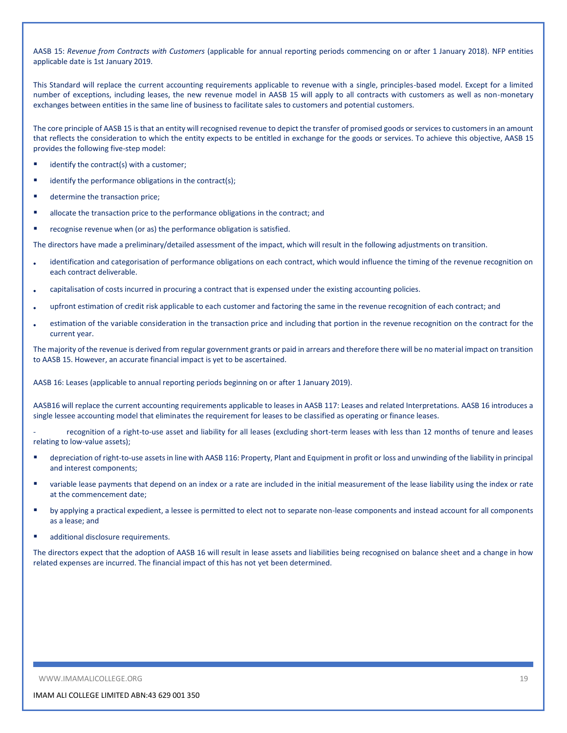AASB 15: *Revenue from Contracts with Customers* (applicable for annual reporting periods commencing on or after 1 January 2018). NFP entities applicable date is 1st January 2019.

This Standard will replace the current accounting requirements applicable to revenue with a single, principles-based model. Except for a limited number of exceptions, including leases, the new revenue model in AASB 15 will apply to all contracts with customers as well as non-monetary exchanges between entities in the same line of business to facilitate sales to customers and potential customers.

The core principle of AASB 15 is that an entity will recognised revenue to depict the transfer of promised goods or services to customers in an amount that reflects the consideration to which the entity expects to be entitled in exchange for the goods or services. To achieve this objective, AASB 15 provides the following five-step model:

- identify the contract(s) with a customer;
- $\blacksquare$  identify the performance obligations in the contract(s);
- **determine the transaction price;**
- **EXEDENT** allocate the transaction price to the performance obligations in the contract; and
- **•** recognise revenue when (or as) the performance obligation is satisfied.

The directors have made a preliminary/detailed assessment of the impact, which will result in the following adjustments on transition.

- identification and categorisation of performance obligations on each contract, which would influence the timing of the revenue recognition on each contract deliverable.
- capitalisation of costs incurred in procuring a contract that is expensed under the existing accounting policies.
- upfront estimation of credit risk applicable to each customer and factoring the same in the revenue recognition of each contract; and
- estimation of the variable consideration in the transaction price and including that portion in the revenue recognition on the contract for the current year.

The majority of the revenue is derived from regular government grants or paid in arrears and therefore there will be no material impact on transition to AASB 15. However, an accurate financial impact is yet to be ascertained.

AASB 16: Leases (applicable to annual reporting periods beginning on or after 1 January 2019).

AASB16 will replace the current accounting requirements applicable to leases in AASB 117: Leases and related Interpretations. AASB 16 introduces a single lessee accounting model that eliminates the requirement for leases to be classified as operating or finance leases.

recognition of a right-to-use asset and liability for all leases (excluding short-term leases with less than 12 months of tenure and leases relating to low-value assets);

- depreciation of right-to-use assets in line with AASB 116: Property, Plant and Equipment in profit or loss and unwinding of the liability in principal and interest components;
- variable lease payments that depend on an index or a rate are included in the initial measurement of the lease liability using the index or rate at the commencement date;
- **•** by applying a practical expedient, a lessee is permitted to elect not to separate non-lease components and instead account for all components as a lease; and
- additional disclosure requirements.

The directors expect that the adoption of AASB 16 will result in lease assets and liabilities being recognised on balance sheet and a change in how related expenses are incurred. The financial impact of this has not yet been determined.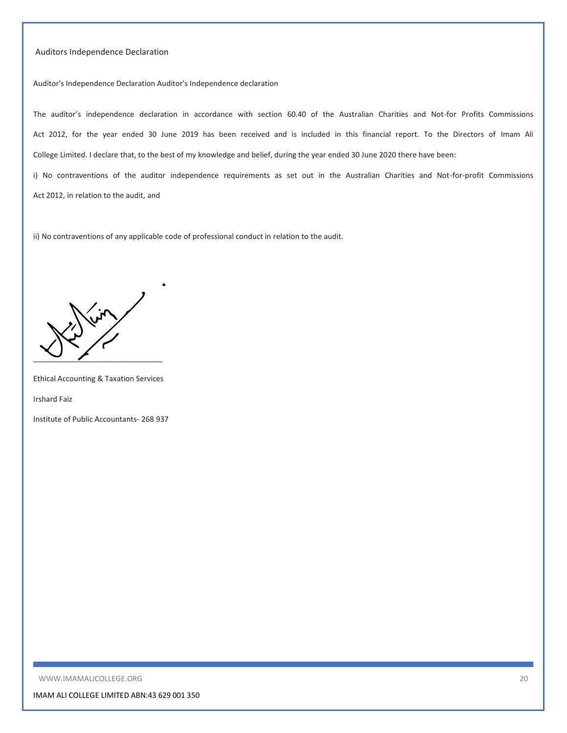#### Auditors Independence Declaration

Auditor's Independence Declaration Auditor's Independence declaration

The auditor's independence declaration in accordance with section 60.40 of the Australian Charities and Not-for Profits Commissions Act 2012, for the year ended 30 June 2019 has been received and is included in this financial report. To the Directors of Imam Ali College Limited. I declare that, to the best of my knowledge and belief, during the year ended 30 June 2020 there have been:

i) No contraventions of the auditor independence requirements as set out in the Australian Charities and Not-for-profit Commissions Act 2012, in relation to the audit, and

ii) No contraventions of any applicable code of professional conduct in relation to the audit.

 $\overline{\phantom{a}}$ 

Ethical Accounting & Taxation Services

Irshard Faiz

Institute of Public Accountants- 268 937

WWW.IMAMALICOLLEGE.ORG 20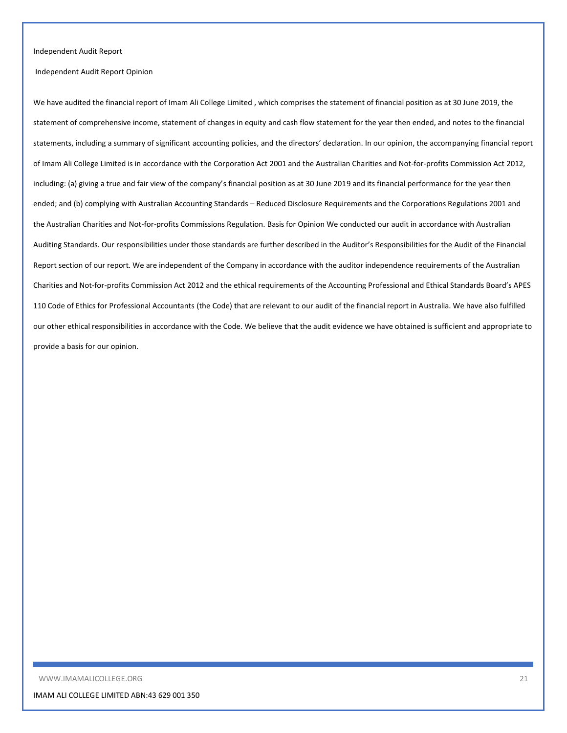#### Independent Audit Report

Independent Audit Report Opinion

We have audited the financial report of Imam Ali College Limited , which comprises the statement of financial position as at 30 June 2019, the statement of comprehensive income, statement of changes in equity and cash flow statement for the year then ended, and notes to the financial statements, including a summary of significant accounting policies, and the directors' declaration. In our opinion, the accompanying financial report of Imam Ali College Limited is in accordance with the Corporation Act 2001 and the Australian Charities and Not-for-profits Commission Act 2012, including: (a) giving a true and fair view of the company's financial position as at 30 June 2019 and its financial performance for the year then ended; and (b) complying with Australian Accounting Standards - Reduced Disclosure Requirements and the Corporations Regulations 2001 and the Australian Charities and Not-for-profits Commissions Regulation. Basis for Opinion We conducted our audit in accordance with Australian Auditing Standards. Our responsibilities under those standards are further described in the Auditor's Responsibilities for the Audit of the Financial Report section of our report. We are independent of the Company in accordance with the auditor independence requirements of the Australian Charities and Not-for-profits Commission Act 2012 and the ethical requirements of the Accounting Professional and Ethical Standards Board's APES 110 Code of Ethics for Professional Accountants (the Code) that are relevant to our audit of the financial report in Australia. We have also fulfilled our other ethical responsibilities in accordance with the Code. We believe that the audit evidence we have obtained is sufficient and appropriate to provide a basis for our opinion.

WWW.IMAMALICOLLEGE.ORG 21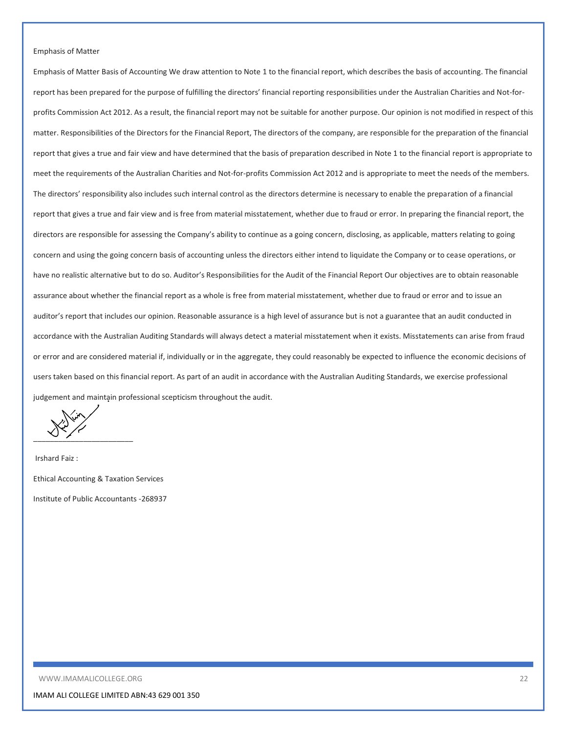#### Emphasis of Matter

Emphasis of Matter Basis of Accounting We draw attention to Note 1 to the financial report, which describes the basis of accounting. The financial report has been prepared for the purpose of fulfilling the directors' financial reporting responsibilities under the Australian Charities and Not-forprofits Commission Act 2012. As a result, the financial report may not be suitable for another purpose. Our opinion is not modified in respect of this matter. Responsibilities of the Directors for the Financial Report, The directors of the company, are responsible for the preparation of the financial report that gives a true and fair view and have determined that the basis of preparation described in Note 1 to the financial report is appropriate to meet the requirements of the Australian Charities and Not-for-profits Commission Act 2012 and is appropriate to meet the needs of the members. The directors' responsibility also includes such internal control as the directors determine is necessary to enable the preparation of a financial report that gives a true and fair view and is free from material misstatement, whether due to fraud or error. In preparing the financial report, the directors are responsible for assessing the Company's ability to continue as a going concern, disclosing, as applicable, matters relating to going concern and using the going concern basis of accounting unless the directors either intend to liquidate the Company or to cease operations, or have no realistic alternative but to do so. Auditor's Responsibilities for the Audit of the Financial Report Our objectives are to obtain reasonable assurance about whether the financial report as a whole is free from material misstatement, whether due to fraud or error and to issue an auditor's report that includes our opinion. Reasonable assurance is a high level of assurance but is not a guarantee that an audit conducted in accordance with the Australian Auditing Standards will always detect a material misstatement when it exists. Misstatements can arise from fraud or error and are considered material if, individually or in the aggregate, they could reasonably be expected to influence the economic decisions of users taken based on this financial report. As part of an audit in accordance with the Australian Auditing Standards, we exercise professional judgement and maintain professional scepticism throughout the audit.

 $\overline{\phantom{a}}$ 

Irshard Faiz : Ethical Accounting & Taxation Services Institute of Public Accountants -268937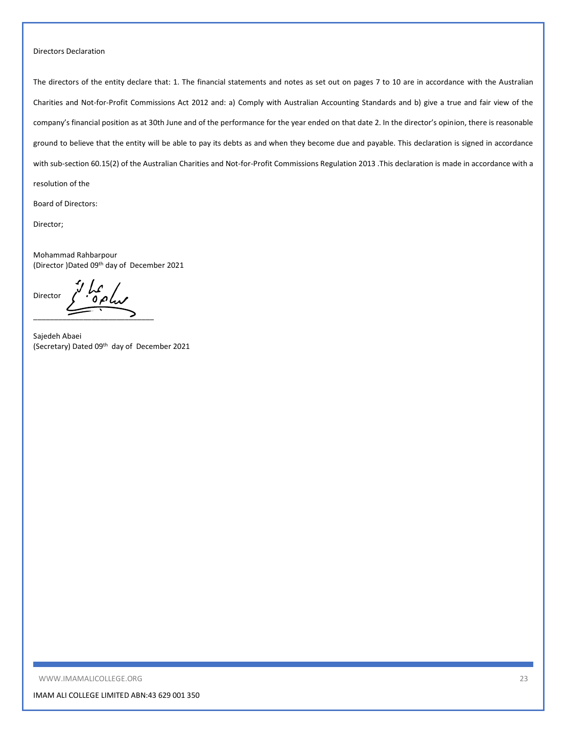#### Directors Declaration

The directors of the entity declare that: 1. The financial statements and notes as set out on pages 7 to 10 are in accordance with the Australian Charities and Not-for-Profit Commissions Act 2012 and: a) Comply with Australian Accounting Standards and b) give a true and fair view of the company's financial position as at 30th June and of the performance for the year ended on that date 2. In the director's opinion, there is reasonable ground to believe that the entity will be able to pay its debts as and when they become due and payable. This declaration is signed in accordance with sub-section 60.15(2) of the Australian Charities and Not-for-Profit Commissions Regulation 2013 .This declaration is made in accordance with a resolution of the

Board of Directors:

Director;

Mohammad Rahbarpour (Director )Dated 09th day of December 2021

de la Director \_\_\_\_\_\_\_\_\_\_\_\_\_\_\_\_\_\_\_\_\_\_\_\_\_\_\_\_\_

Sajedeh Abaei (Secretary) Dated 09th day of December 2021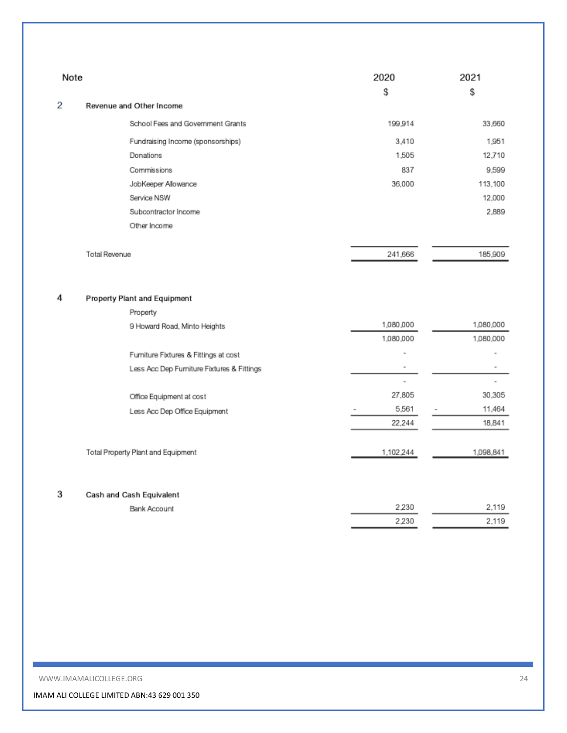| Note |                                            | 2020<br>\$               | 2021<br>\$ |
|------|--------------------------------------------|--------------------------|------------|
| 2    | Revenue and Other Income                   |                          |            |
|      | School Fees and Government Grants          | 199,914                  | 33,660     |
|      | Fundraising Income (sponsorships)          | 3,410                    | 1.951      |
|      | Donations                                  | 1,505                    | 12.710     |
|      | Commissions                                | 837                      | 9,599      |
|      | JobKeeper Allowance                        | 36,000                   | 113,100    |
|      | Service NSW                                |                          | 12,000     |
|      | Subcontractor Income                       |                          | 2.889      |
|      | Other Income                               |                          |            |
|      | <b>Total Revenue</b>                       | 241,666                  | 185,909    |
| 4    | Property Plant and Equipment               |                          |            |
|      | Property                                   |                          |            |
|      | 9 Howard Road, Minto Heights               | 1,080,000                | 1,080,000  |
|      |                                            | 1,080,000                | 1,080,000  |
|      | Furniture Fixtures & Fittings at cost      | $\overline{\phantom{a}}$ |            |
|      | Less Acc Dep Furniture Fixtures & Fittings | $\overline{\phantom{a}}$ | ۰          |
|      |                                            | $\overline{a}$<br>27,805 | 30.305     |
|      | Office Equipment at cost                   | 5,561                    | 11.464     |
|      | Less Acc Dep Office Equipment              | 22.244                   | 18,841     |
|      |                                            |                          |            |
|      | Total Property Plant and Equipment         | 1,102,244                | 1,098,841  |
| 3    | Cash and Cash Equivalent                   |                          |            |
|      | Bank Account                               | 2.230                    | 2.119      |
|      |                                            | 2,230                    | 2,119      |

WWW.IMAMALICOLLEGE.ORG 24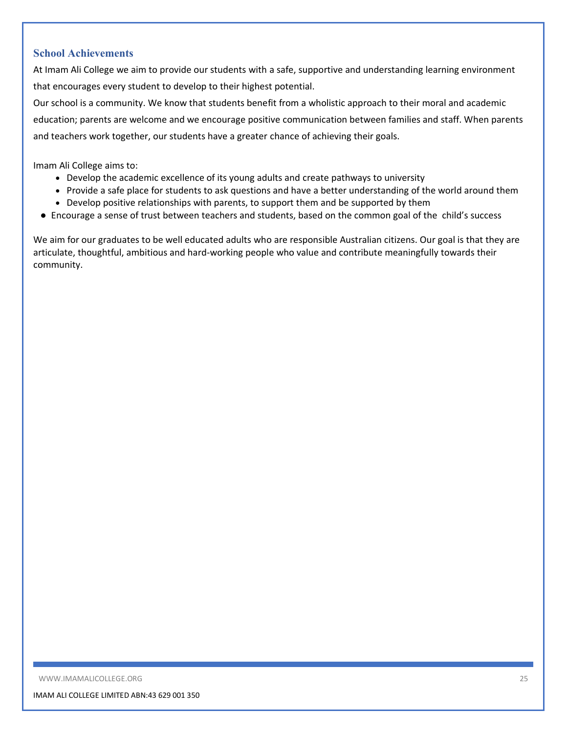## **School Achievements**

At Imam Ali College we aim to provide our students with a safe, supportive and understanding learning environment that encourages every student to develop to their highest potential.

Our school is a community. We know that students benefit from a wholistic approach to their moral and academic education; parents are welcome and we encourage positive communication between families and staff. When parents and teachers work together, our students have a greater chance of achieving their goals.

Imam Ali College aims to:

- Develop the academic excellence of its young adults and create pathways to university
- Provide a safe place for students to ask questions and have a better understanding of the world around them
- Develop positive relationships with parents, to support them and be supported by them
- Encourage a sense of trust between teachers and students, based on the common goal of the child's success

We aim for our graduates to be well educated adults who are responsible Australian citizens. Our goal is that they are articulate, thoughtful, ambitious and hard-working people who value and contribute meaningfully towards their community.